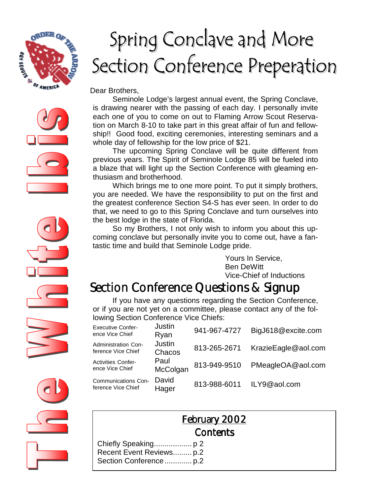

# Spring Conclave and More Section Conference Preperation

Dear Brothers,

 Seminole Lodge's largest annual event, the Spring Conclave, is drawing nearer with the passing of each day. I personally invite each one of you to come on out to Flaming Arrow Scout Reservation on March 8-10 to take part in this great affair of fun and fellowship!! Good food, exciting ceremonies, interesting seminars and a whole day of fellowship for the low price of \$21.

 The upcoming Spring Conclave will be quite different from previous years. The Spirit of Seminole Lodge 85 will be fueled into a blaze that will light up the Section Conference with gleaming enthusiasm and brotherhood.

 Which brings me to one more point. To put it simply brothers, you are needed. We have the responsibility to put on the first and the greatest conference Section S4-S has ever seen. In order to do that, we need to go to this Spring Conclave and turn ourselves into the best lodge in the state of Florida.

 So my Brothers, I not only wish to inform you about this upcoming conclave but personally invite you to come out, have a fantastic time and build that Seminole Lodge pride.

> Yours In Service, Ben DeWitt Vice-Chief of Inductions

## Section Conference Questions & Signup

If you have any questions regarding the Section Conference, or if you are not yet on a committee, please contact any of the following Section Conference Vice Chiefs:

| <b>Executive Confer-</b><br>ence Vice Chief  | Justin<br>Ryan          | 941-967-4727 | BigJ618@excite.com  |
|----------------------------------------------|-------------------------|--------------|---------------------|
| Administration Con-<br>ference Vice Chief    | <b>Justin</b><br>Chacos | 813-265-2671 | KrazieEagle@aol.com |
| <b>Activities Confer-</b><br>ence Vice Chief | Paul<br>McColgan        | 813-949-9510 | PMeagleOA@aol.com   |
| Communications Con-<br>ference Vice Chief    | David<br>Hager          | 813-988-6011 | ILY9@aol.com        |



|                          | <b>February 2002</b> |  |
|--------------------------|----------------------|--|
|                          | Contents             |  |
|                          |                      |  |
| Recent Event Reviews p.2 |                      |  |
|                          |                      |  |